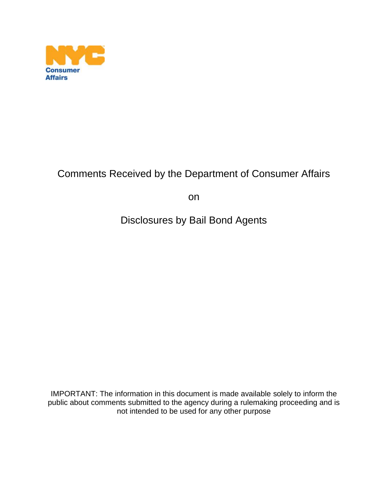

## Comments Received by the Department of Consumer Affairs

on

Disclosures by Bail Bond Agents

IMPORTANT: The information in this document is made available solely to inform the public about comments submitted to the agency during a rulemaking proceeding and is not intended to be used for any other purpose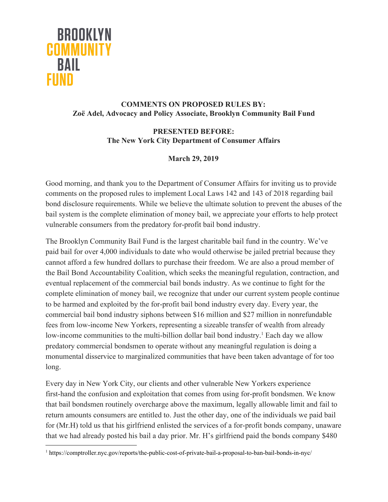

## **COMMENTS ON PROPOSED RULES BY: Zoë Adel, Advocacy and Policy Associate, Brooklyn Community Bail Fund**

## **PRESENTED BEFORE: The New York City Department of Consumer Affairs**

## **March 29, 2019**

Good morning, and thank you to the Department of Consumer Affairs for inviting us to provide comments on the proposed rules to implement Local Laws 142 and 143 of 2018 regarding bail bond disclosure requirements. While we believe the ultimate solution to prevent the abuses of the bail system is the complete elimination of money bail, we appreciate your efforts to help protect vulnerable consumers from the predatory for-profit bail bond industry.

The Brooklyn Community Bail Fund is the largest charitable bail fund in the country. We've paid bail for over 4,000 individuals to date who would otherwise be jailed pretrial because they cannot afford a few hundred dollars to purchase their freedom. We are also a proud member of the Bail Bond Accountability Coalition, which seeks the meaningful regulation, contraction, and eventual replacement of the commercial bail bonds industry. As we continue to fight for the complete elimination of money bail, we recognize that under our current system people continue to be harmed and exploited by the for-profit bail bond industry every day. Every year, the commercial bail bond industry siphons between \$16 million and \$27 million in nonrefundable fees from low-income New Yorkers, representing a sizeable transfer of wealth from already low-income communities to the multi-billion dollar bail bond industry.<sup>1</sup> Each day we allow predatory commercial bondsmen to operate without any meaningful regulation is doing a monumental disservice to marginalized communities that have been taken advantage of for too long.

Every day in New York City, our clients and other vulnerable New Yorkers experience first-hand the confusion and exploitation that comes from using for-profit bondsmen. We know that bail bondsmen routinely overcharge above the maximum, legally allowable limit and fail to return amounts consumers are entitled to. Just the other day, one of the individuals we paid bail for (Mr.H) told us that his girlfriend enlisted the services of a for-profit bonds company, unaware that we had already posted his bail a day prior. Mr. H's girlfriend paid the bonds company \$480

<sup>1</sup> https://comptroller.nyc.gov/reports/the-public-cost-of-private-bail-a-proposal-to-ban-bail-bonds-in-nyc/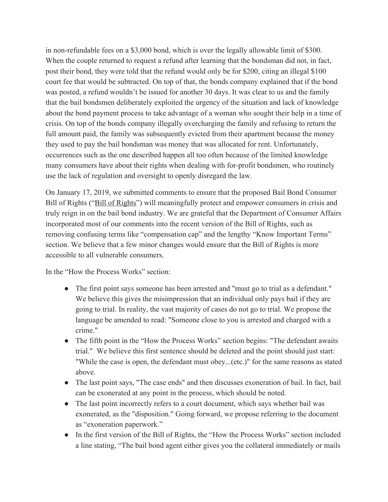in non-refundable fees on a \$3,000 bond, which is over the legally allowable limit of \$300. When the couple returned to request a refund after learning that the bondsman did not, in fact, post their bond, they were told that the refund would only be for \$200, citing an illegal \$100 court fee that would be subtracted. On top of that, the bonds company explained that if the bond was posted, a refund wouldn't be issued for another 30 days. It was clear to us and the family that the bail bondsmen deliberately exploited the urgency of the situation and lack of knowledge about the bond payment process to take advantage of a woman who sought their help in a time of crisis. On top of the bonds company illegally overcharging the family and refusing to return the full amount paid, the family was subsequently evicted from their apartment because the money they used to pay the bail bondsman was money that was allocated for rent. Unfortunately, occurrences such as the one described happen all too often because of the limited knowledge many consumers have about their rights when dealing with for-profit bondsmen, who routinely use the lack of regulation and oversight to openly disregard the law.

On January 17, 2019, we submitted comments to ensure that the proposed Bail Bond Consumer Bill of Rights ("Bill of Rights") will meaningfully protect and empower consumers in crisis and truly reign in on the bail bond industry. We are grateful that the Department of Consumer Affairs incorporated most of our comments into the recent version of the Bill of Rights, such as removing confusing terms like "compensation cap" and the lengthy "Know Important Terms" section. We believe that a few minor changes would ensure that the Bill of Rights is more accessible to all vulnerable consumers.

In the "How the Process Works" section:

- The first point says someone has been arrested and "must go to trial as a defendant." We believe this gives the misimpression that an individual only pays bail if they are going to trial. In reality, the vast majority of cases do not go to trial. We propose the language be amended to read: "Someone close to you is arrested and charged with a crime."
- The fifth point in the "How the Process Works" section begins: "The defendant awaits trial." We believe this first sentence should be deleted and the point should just start: "While the case is open, the defendant must obey...(etc.)" for the same reasons as stated above.
- The last point says, "The case ends" and then discusses exoneration of bail. In fact, bail can be exonerated at any point in the process, which should be noted.
- The last point incorrectly refers to a court document, which says whether bail was exonerated, as the "disposition." Going forward, we propose referring to the document as "exoneration paperwork."
- In the first version of the Bill of Rights, the "How the Process Works" section included a line stating, "The bail bond agent either gives you the collateral immediately or mails